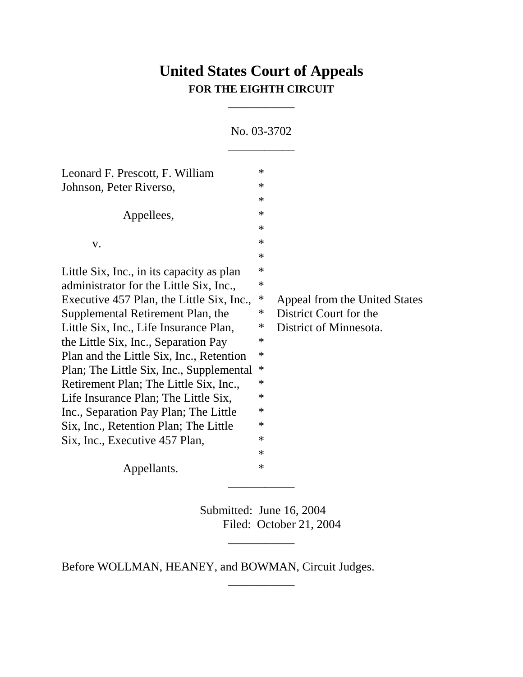## **United States Court of Appeals FOR THE EIGHTH CIRCUIT**

\_\_\_\_\_\_\_\_\_\_\_

No. 03-3702 \_\_\_\_\_\_\_\_\_\_\_ Leonard F. Prescott, F. William  $*$ Johnson, Peter Riverso, \* \* Appellees,  $*$ \*  $\mathbf v$ .  $\ast$ \* Little Six, Inc., in its capacity as plan  $*$ administrator for the Little Six, Inc., \* Executive 457 Plan, the Little Six, Inc., \* Appeal from the United States Supplemental Retirement Plan, the \* District Court for the Little Six, Inc., Life Insurance Plan,  $*$  District of Minnesota. the Little Six, Inc., Separation Pay  $*$ Plan and the Little Six, Inc., Retention  $*$ Plan; The Little Six, Inc., Supplemental \* Retirement Plan; The Little Six, Inc.,  $*$ Life Insurance Plan; The Little Six,  $*$ Inc., Separation Pay Plan; The Little \* Six, Inc., Retention Plan; The Little \* Six, Inc., Executive 457 Plan,  $*$ \* Appellants.  $*$ \_\_\_\_\_\_\_\_\_\_\_

> Submitted: June 16, 2004 Filed: October 21, 2004

> > \_\_\_\_\_\_\_\_\_\_\_

\_\_\_\_\_\_\_\_\_\_\_

Before WOLLMAN, HEANEY, and BOWMAN, Circuit Judges.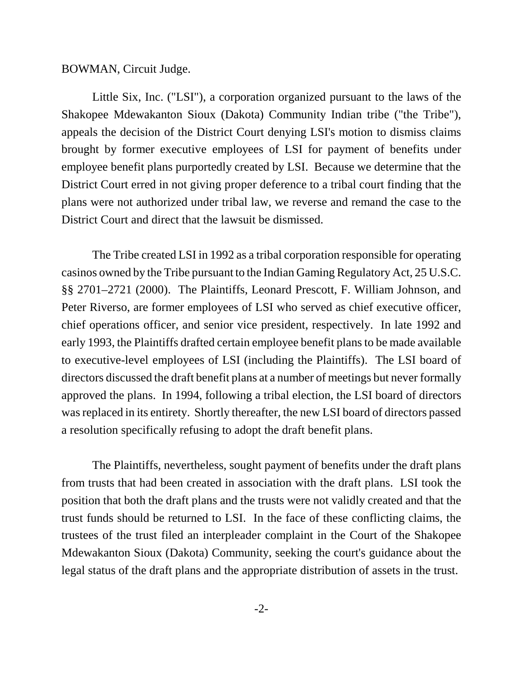## BOWMAN, Circuit Judge.

Little Six, Inc. ("LSI"), a corporation organized pursuant to the laws of the Shakopee Mdewakanton Sioux (Dakota) Community Indian tribe ("the Tribe"), appeals the decision of the District Court denying LSI's motion to dismiss claims brought by former executive employees of LSI for payment of benefits under employee benefit plans purportedly created by LSI. Because we determine that the District Court erred in not giving proper deference to a tribal court finding that the plans were not authorized under tribal law, we reverse and remand the case to the District Court and direct that the lawsuit be dismissed.

The Tribe created LSI in 1992 as a tribal corporation responsible for operating casinos owned by the Tribe pursuant to the Indian Gaming Regulatory Act, 25 U.S.C. §§ 2701–2721 (2000). The Plaintiffs, Leonard Prescott, F. William Johnson, and Peter Riverso, are former employees of LSI who served as chief executive officer, chief operations officer, and senior vice president, respectively. In late 1992 and early 1993, the Plaintiffs drafted certain employee benefit plans to be made available to executive-level employees of LSI (including the Plaintiffs). The LSI board of directors discussed the draft benefit plans at a number of meetings but never formally approved the plans. In 1994, following a tribal election, the LSI board of directors was replaced in its entirety. Shortly thereafter, the new LSI board of directors passed a resolution specifically refusing to adopt the draft benefit plans.

The Plaintiffs, nevertheless, sought payment of benefits under the draft plans from trusts that had been created in association with the draft plans. LSI took the position that both the draft plans and the trusts were not validly created and that the trust funds should be returned to LSI. In the face of these conflicting claims, the trustees of the trust filed an interpleader complaint in the Court of the Shakopee Mdewakanton Sioux (Dakota) Community, seeking the court's guidance about the legal status of the draft plans and the appropriate distribution of assets in the trust.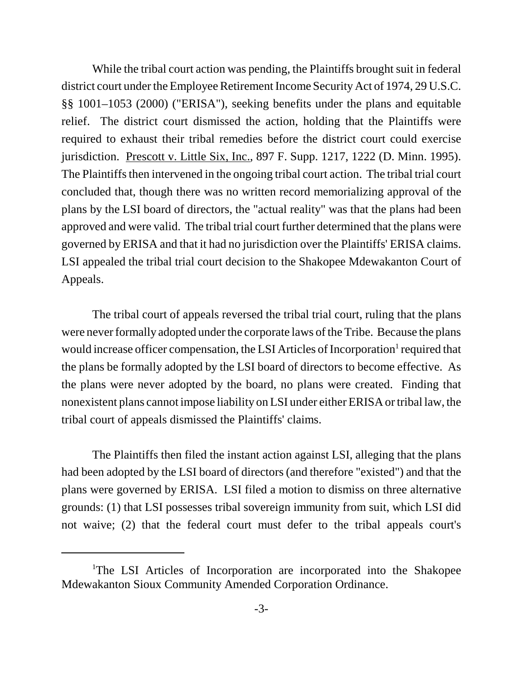While the tribal court action was pending, the Plaintiffs brought suit in federal district court under the Employee Retirement Income Security Act of 1974, 29 U.S.C. §§ 1001–1053 (2000) ("ERISA"), seeking benefits under the plans and equitable relief. The district court dismissed the action, holding that the Plaintiffs were required to exhaust their tribal remedies before the district court could exercise jurisdiction. Prescott v. Little Six, Inc., 897 F. Supp. 1217, 1222 (D. Minn. 1995). The Plaintiffs then intervened in the ongoing tribal court action. The tribal trial court concluded that, though there was no written record memorializing approval of the plans by the LSI board of directors, the "actual reality" was that the plans had been approved and were valid. The tribal trial court further determined that the plans were governed by ERISA and that it had no jurisdiction over the Plaintiffs' ERISA claims. LSI appealed the tribal trial court decision to the Shakopee Mdewakanton Court of Appeals.

The tribal court of appeals reversed the tribal trial court, ruling that the plans were never formally adopted under the corporate laws of the Tribe. Because the plans would increase officer compensation, the LSI Articles of Incorporation<sup>1</sup> required that the plans be formally adopted by the LSI board of directors to become effective. As the plans were never adopted by the board, no plans were created. Finding that nonexistent plans cannot impose liability on LSI under either ERISA or tribal law, the tribal court of appeals dismissed the Plaintiffs' claims.

The Plaintiffs then filed the instant action against LSI, alleging that the plans had been adopted by the LSI board of directors (and therefore "existed") and that the plans were governed by ERISA. LSI filed a motion to dismiss on three alternative grounds: (1) that LSI possesses tribal sovereign immunity from suit, which LSI did not waive; (2) that the federal court must defer to the tribal appeals court's

<sup>&</sup>lt;sup>1</sup>The LSI Articles of Incorporation are incorporated into the Shakopee Mdewakanton Sioux Community Amended Corporation Ordinance.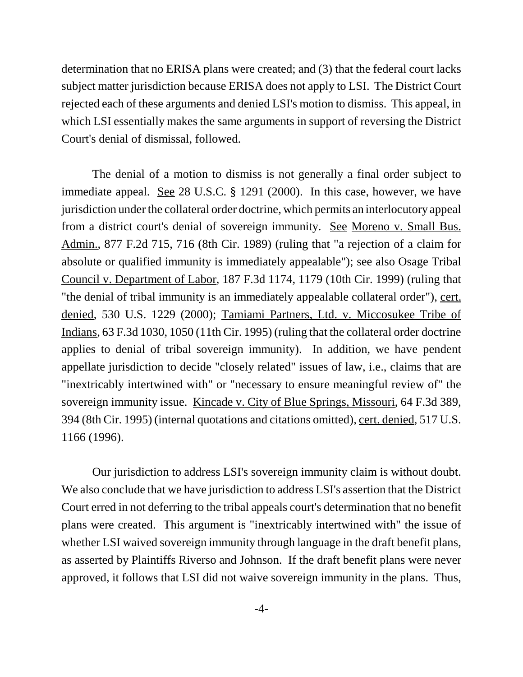determination that no ERISA plans were created; and (3) that the federal court lacks subject matter jurisdiction because ERISA does not apply to LSI. The District Court rejected each of these arguments and denied LSI's motion to dismiss. This appeal, in which LSI essentially makes the same arguments in support of reversing the District Court's denial of dismissal, followed.

The denial of a motion to dismiss is not generally a final order subject to immediate appeal. See 28 U.S.C. § 1291 (2000). In this case, however, we have jurisdiction under the collateral order doctrine, which permits an interlocutory appeal from a district court's denial of sovereign immunity. See Moreno v. Small Bus. Admin., 877 F.2d 715, 716 (8th Cir. 1989) (ruling that "a rejection of a claim for absolute or qualified immunity is immediately appealable"); see also Osage Tribal Council v. Department of Labor, 187 F.3d 1174, 1179 (10th Cir. 1999) (ruling that "the denial of tribal immunity is an immediately appealable collateral order"), cert. denied, 530 U.S. 1229 (2000); Tamiami Partners, Ltd. v. Miccosukee Tribe of Indians, 63 F.3d 1030, 1050 (11th Cir. 1995) (ruling that the collateral order doctrine applies to denial of tribal sovereign immunity). In addition, we have pendent appellate jurisdiction to decide "closely related" issues of law, i.e., claims that are "inextricably intertwined with" or "necessary to ensure meaningful review of" the sovereign immunity issue. Kincade v. City of Blue Springs, Missouri, 64 F.3d 389, 394 (8th Cir. 1995) (internal quotations and citations omitted), cert. denied, 517 U.S. 1166 (1996).

Our jurisdiction to address LSI's sovereign immunity claim is without doubt. We also conclude that we have jurisdiction to address LSI's assertion that the District Court erred in not deferring to the tribal appeals court's determination that no benefit plans were created. This argument is "inextricably intertwined with" the issue of whether LSI waived sovereign immunity through language in the draft benefit plans, as asserted by Plaintiffs Riverso and Johnson. If the draft benefit plans were never approved, it follows that LSI did not waive sovereign immunity in the plans. Thus,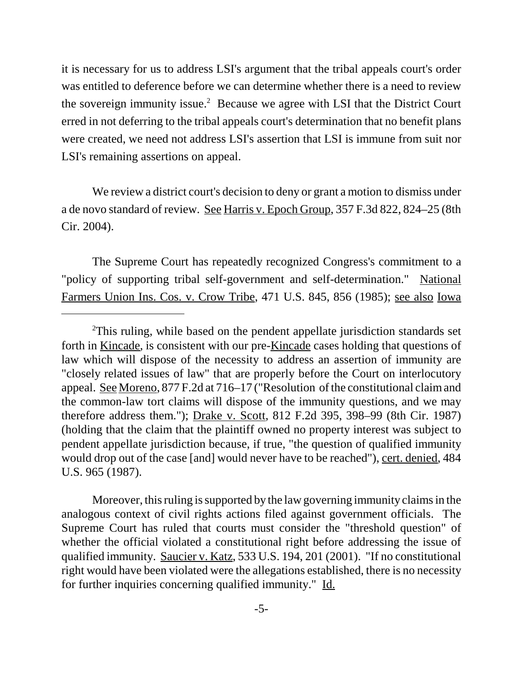it is necessary for us to address LSI's argument that the tribal appeals court's order was entitled to deference before we can determine whether there is a need to review the sovereign immunity issue.<sup>2</sup> Because we agree with LSI that the District Court erred in not deferring to the tribal appeals court's determination that no benefit plans were created, we need not address LSI's assertion that LSI is immune from suit nor LSI's remaining assertions on appeal.

We review a district court's decision to deny or grant a motion to dismiss under a de novo standard of review. See Harris v. Epoch Group, 357 F.3d 822, 824–25 (8th Cir. 2004).

The Supreme Court has repeatedly recognized Congress's commitment to a "policy of supporting tribal self-government and self-determination." National Farmers Union Ins. Cos. v. Crow Tribe, 471 U.S. 845, 856 (1985); see also Iowa

Moreover, this ruling is supported by the law governing immunity claims in the analogous context of civil rights actions filed against government officials. The Supreme Court has ruled that courts must consider the "threshold question" of whether the official violated a constitutional right before addressing the issue of qualified immunity. Saucier v. Katz, 533 U.S. 194, 201 (2001). "If no constitutional right would have been violated were the allegations established, there is no necessity for further inquiries concerning qualified immunity." Id.

<sup>&</sup>lt;sup>2</sup>This ruling, while based on the pendent appellate jurisdiction standards set forth in Kincade, is consistent with our pre-Kincade cases holding that questions of law which will dispose of the necessity to address an assertion of immunity are "closely related issues of law" that are properly before the Court on interlocutory appeal. See Moreno, 877 F.2d at 716–17 ("Resolution of the constitutional claim and the common-law tort claims will dispose of the immunity questions, and we may therefore address them."); Drake v. Scott, 812 F.2d 395, 398–99 (8th Cir. 1987) (holding that the claim that the plaintiff owned no property interest was subject to pendent appellate jurisdiction because, if true, "the question of qualified immunity would drop out of the case [and] would never have to be reached"), cert. denied, 484 U.S. 965 (1987).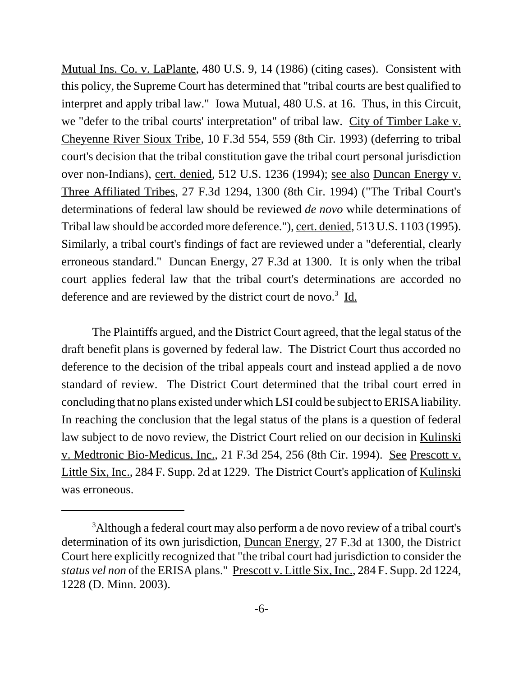Mutual Ins. Co. v. LaPlante, 480 U.S. 9, 14 (1986) (citing cases). Consistent with this policy, the Supreme Court has determined that "tribal courts are best qualified to interpret and apply tribal law." <u>Iowa Mutual</u>, 480 U.S. at 16. Thus, in this Circuit, we "defer to the tribal courts' interpretation" of tribal law. City of Timber Lake v. Cheyenne River Sioux Tribe, 10 F.3d 554, 559 (8th Cir. 1993) (deferring to tribal court's decision that the tribal constitution gave the tribal court personal jurisdiction over non-Indians), cert. denied, 512 U.S. 1236 (1994); see also Duncan Energy v. Three Affiliated Tribes, 27 F.3d 1294, 1300 (8th Cir. 1994) ("The Tribal Court's determinations of federal law should be reviewed *de novo* while determinations of Tribal law should be accorded more deference."), cert. denied, 513 U.S. 1103 (1995). Similarly, a tribal court's findings of fact are reviewed under a "deferential, clearly erroneous standard." Duncan Energy, 27 F.3d at 1300. It is only when the tribal court applies federal law that the tribal court's determinations are accorded no deference and are reviewed by the district court de novo.<sup>3</sup> Id.

The Plaintiffs argued, and the District Court agreed, that the legal status of the draft benefit plans is governed by federal law. The District Court thus accorded no deference to the decision of the tribal appeals court and instead applied a de novo standard of review. The District Court determined that the tribal court erred in concluding that no plans existed under which LSI could be subject to ERISA liability. In reaching the conclusion that the legal status of the plans is a question of federal law subject to de novo review, the District Court relied on our decision in Kulinski v. Medtronic Bio-Medicus, Inc., 21 F.3d 254, 256 (8th Cir. 1994). See Prescott v. Little Six, Inc., 284 F. Supp. 2d at 1229. The District Court's application of Kulinski was erroneous.

<sup>&</sup>lt;sup>3</sup>Although a federal court may also perform a de novo review of a tribal court's determination of its own jurisdiction, Duncan Energy, 27 F.3d at 1300, the District Court here explicitly recognized that "the tribal court had jurisdiction to consider the *status vel non* of the ERISA plans." Prescott v. Little Six, Inc., 284 F. Supp. 2d 1224, 1228 (D. Minn. 2003).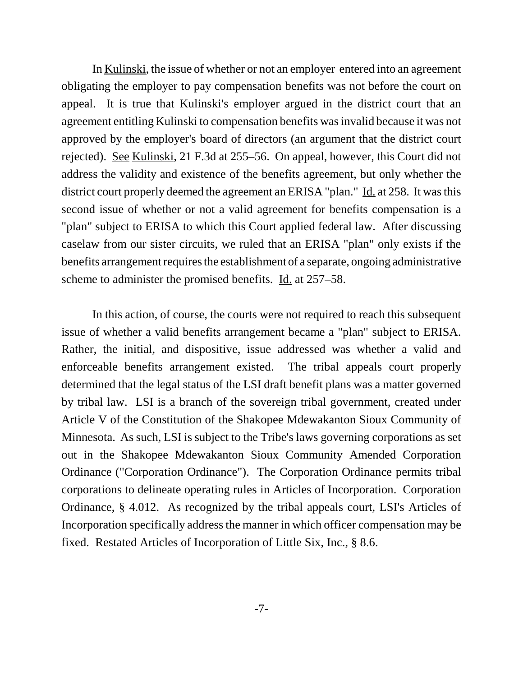In Kulinski, the issue of whether or not an employer entered into an agreement obligating the employer to pay compensation benefits was not before the court on appeal. It is true that Kulinski's employer argued in the district court that an agreement entitling Kulinski to compensation benefits was invalid because it was not approved by the employer's board of directors (an argument that the district court rejected). <u>See Kulinski</u>, 21 F.3d at 255–56. On appeal, however, this Court did not address the validity and existence of the benefits agreement, but only whether the district court properly deemed the agreement an ERISA "plan." Id. at 258. It was this second issue of whether or not a valid agreement for benefits compensation is a "plan" subject to ERISA to which this Court applied federal law. After discussing caselaw from our sister circuits, we ruled that an ERISA "plan" only exists if the benefits arrangement requires the establishment of a separate, ongoing administrative scheme to administer the promised benefits. Id. at 257–58.

In this action, of course, the courts were not required to reach this subsequent issue of whether a valid benefits arrangement became a "plan" subject to ERISA. Rather, the initial, and dispositive, issue addressed was whether a valid and enforceable benefits arrangement existed. The tribal appeals court properly determined that the legal status of the LSI draft benefit plans was a matter governed by tribal law. LSI is a branch of the sovereign tribal government, created under Article V of the Constitution of the Shakopee Mdewakanton Sioux Community of Minnesota. As such, LSI is subject to the Tribe's laws governing corporations as set out in the Shakopee Mdewakanton Sioux Community Amended Corporation Ordinance ("Corporation Ordinance"). The Corporation Ordinance permits tribal corporations to delineate operating rules in Articles of Incorporation. Corporation Ordinance, § 4.012. As recognized by the tribal appeals court, LSI's Articles of Incorporation specifically address the manner in which officer compensation may be fixed. Restated Articles of Incorporation of Little Six, Inc., § 8.6.